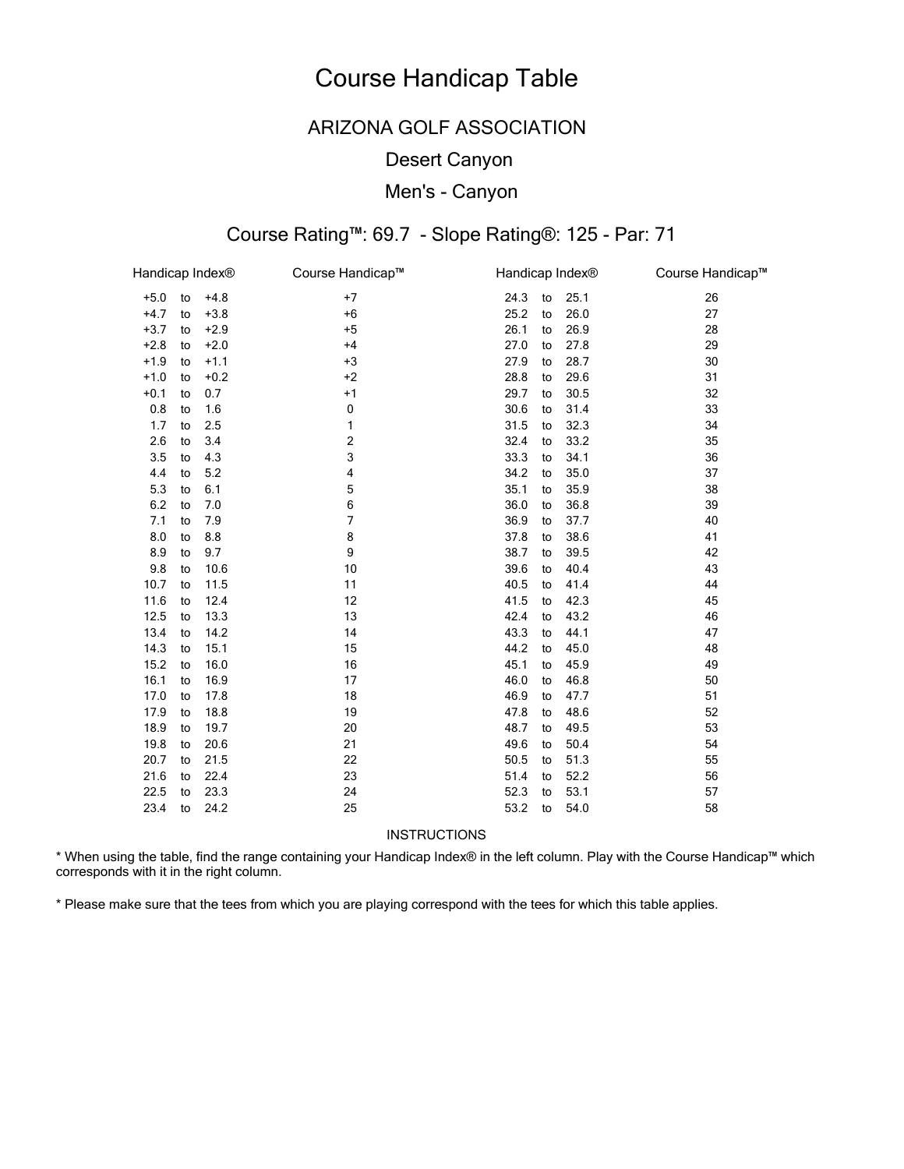## **ARIZONA GOLF ASSOCIATION**

### **Desert Canyon**

### Men's - Canyon

# Course Rating™: 69.7 - Slope Rating®: 125 - Par: 71

| Handicap Index® |    |        | Course Handicap™ | Handicap Index® |    |      | Course Handicap™ |
|-----------------|----|--------|------------------|-----------------|----|------|------------------|
| $+5.0$          | to | $+4.8$ | $+7$             | 24.3            | to | 25.1 | 26               |
| $+4.7$          | to | $+3.8$ | $+6$             | 25.2            | to | 26.0 | 27               |
| $+3.7$          | to | $+2.9$ | $+5$             | 26.1            | to | 26.9 | 28               |
| $+2.8$          | to | $+2.0$ | $+4$             | 27.0            | to | 27.8 | 29               |
| $+1.9$          | to | $+1.1$ | $+3$             | 27.9            | to | 28.7 | 30               |
| $+1.0$          | to | $+0.2$ | $+2$             | 28.8            | to | 29.6 | 31               |
| $+0.1$          | to | 0.7    | $+1$             | 29.7            | to | 30.5 | 32               |
| 0.8             | to | 1.6    | $\pmb{0}$        | 30.6            | to | 31.4 | 33               |
| 1.7             | to | 2.5    | 1                | 31.5            | to | 32.3 | 34               |
| 2.6             | to | 3.4    | $\mathbf 2$      | 32.4            | to | 33.2 | 35               |
| 3.5             | to | 4.3    | 3                | 33.3            | to | 34.1 | 36               |
| 4.4             | to | 5.2    | 4                | 34.2            | to | 35.0 | 37               |
| 5.3             | to | 6.1    | 5                | 35.1            | to | 35.9 | 38               |
| 6.2             | to | 7.0    | 6                | 36.0            | to | 36.8 | 39               |
| 7.1             | to | 7.9    | 7                | 36.9            | to | 37.7 | 40               |
| 8.0             | to | 8.8    | 8                | 37.8            | to | 38.6 | 41               |
| 8.9             | to | 9.7    | 9                | 38.7            | to | 39.5 | 42               |
| 9.8             | to | 10.6   | 10               | 39.6            | to | 40.4 | 43               |
| 10.7            | to | 11.5   | 11               | 40.5            | to | 41.4 | 44               |
| 11.6            | to | 12.4   | 12               | 41.5            | to | 42.3 | 45               |
| 12.5            | to | 13.3   | 13               | 42.4            | to | 43.2 | 46               |
| 13.4            | to | 14.2   | 14               | 43.3            | to | 44.1 | 47               |
| 14.3            | to | 15.1   | 15               | 44.2            | to | 45.0 | 48               |
| 15.2            | to | 16.0   | 16               | 45.1            | to | 45.9 | 49               |
| 16.1            | to | 16.9   | 17               | 46.0            | to | 46.8 | 50               |
| 17.0            | to | 17.8   | 18               | 46.9            | to | 47.7 | 51               |
| 17.9            | to | 18.8   | 19               | 47.8            | to | 48.6 | 52               |
| 18.9            | to | 19.7   | 20               | 48.7            | to | 49.5 | 53               |
| 19.8            | to | 20.6   | 21               | 49.6            | to | 50.4 | 54               |
| 20.7            | to | 21.5   | 22               | 50.5            | to | 51.3 | 55               |
| 21.6            | to | 22.4   | 23               | 51.4            | to | 52.2 | 56               |
| 22.5            | to | 23.3   | 24               | 52.3            | to | 53.1 | 57               |
| 23.4            | to | 24.2   | 25               | 53.2            | to | 54.0 | 58               |

INSTRUCTIONS

\* When using the table, find the range containing your Handicap Index® in the left column. Play with the Course Handicap™ which corresponds with it in the right column.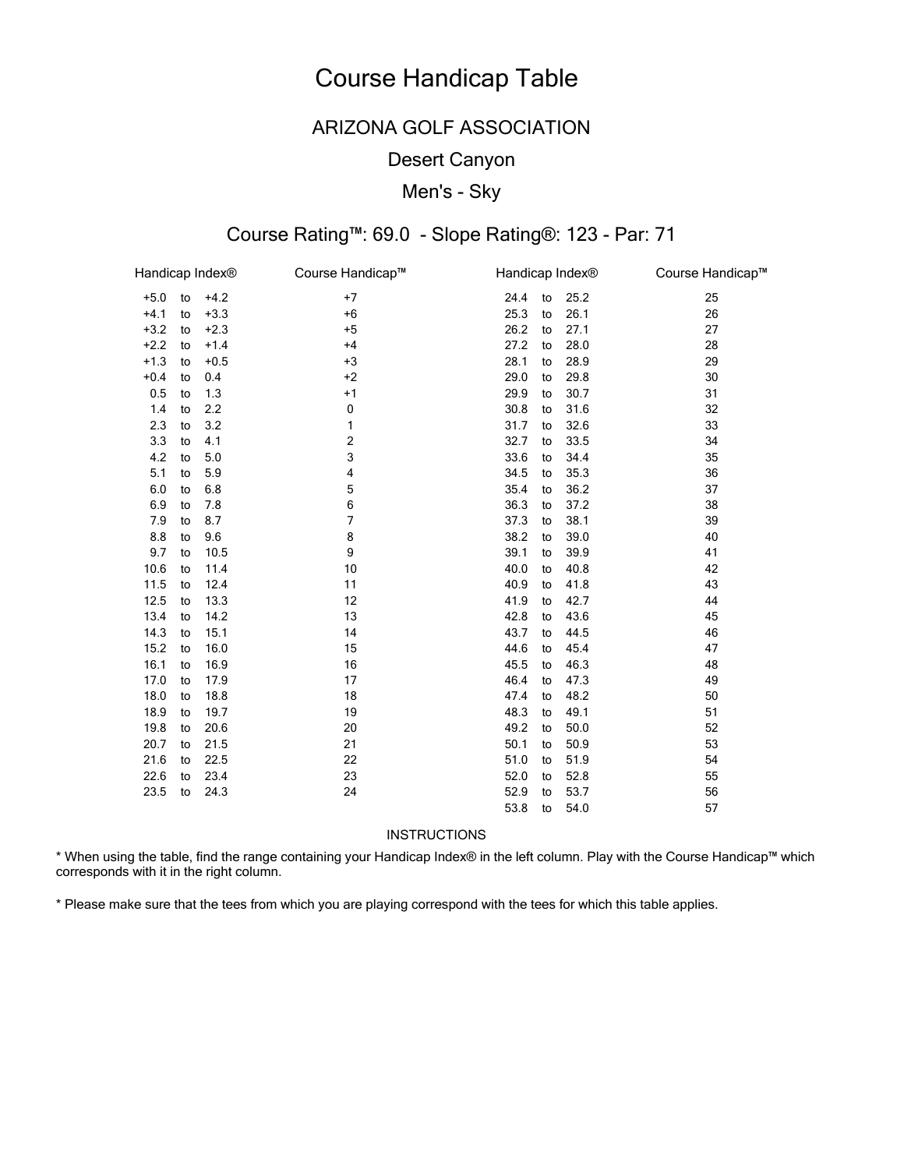## ARIZONA GOLF ASSOCIATION

### Desert Canyon

### Men's - Sky

# Course Rating™: 69.0 - Slope Rating®: 123 - Par: 71

| Handicap Index® |    |        | Course Handicap™ | Handicap Index® |    |      | Course Handicap™ |
|-----------------|----|--------|------------------|-----------------|----|------|------------------|
| $+5.0$          | to | $+4.2$ | $+7$             | 24.4            | to | 25.2 | 25               |
| $+4.1$          | to | $+3.3$ | $+6$             | 25.3            | to | 26.1 | 26               |
| $+3.2$          | to | $+2.3$ | $+5$             | 26.2            | to | 27.1 | 27               |
| $+2.2$          | to | $+1.4$ | $+4$             | 27.2            | to | 28.0 | 28               |
| $+1.3$          | to | $+0.5$ | $+3$             | 28.1            | to | 28.9 | 29               |
| $+0.4$          | to | 0.4    | $+2$             | 29.0            | to | 29.8 | 30               |
| 0.5             | to | 1.3    | $+1$             | 29.9            | to | 30.7 | 31               |
| 1.4             | to | 2.2    | 0                | 30.8            | to | 31.6 | 32               |
| 2.3             | to | 3.2    | 1                | 31.7            | to | 32.6 | 33               |
| 3.3             | to | 4.1    | 2                | 32.7            | to | 33.5 | 34               |
| 4.2             | to | 5.0    | 3                | 33.6            | to | 34.4 | 35               |
| 5.1             | to | 5.9    | 4                | 34.5            | to | 35.3 | 36               |
| 6.0             | to | 6.8    | 5                | 35.4            | to | 36.2 | 37               |
| 6.9             | to | 7.8    | 6                | 36.3            | to | 37.2 | 38               |
| 7.9             | to | 8.7    | 7                | 37.3            | to | 38.1 | 39               |
| 8.8             | to | 9.6    | 8                | 38.2            | to | 39.0 | 40               |
| 9.7             | to | 10.5   | 9                | 39.1            | to | 39.9 | 41               |
| 10.6            | to | 11.4   | 10               | 40.0            | to | 40.8 | 42               |
| 11.5            | to | 12.4   | 11               | 40.9            | to | 41.8 | 43               |
| 12.5            | to | 13.3   | 12               | 41.9            | to | 42.7 | 44               |
| 13.4            | to | 14.2   | 13               | 42.8            | to | 43.6 | 45               |
| 14.3            | to | 15.1   | 14               | 43.7            | to | 44.5 | 46               |
| 15.2            | to | 16.0   | 15               | 44.6            | to | 45.4 | 47               |
| 16.1            | to | 16.9   | 16               | 45.5            | to | 46.3 | 48               |
| 17.0            | to | 17.9   | 17               | 46.4            | to | 47.3 | 49               |
| 18.0            | to | 18.8   | 18               | 47.4            | to | 48.2 | 50               |
| 18.9            | to | 19.7   | 19               | 48.3            | to | 49.1 | 51               |
| 19.8            | to | 20.6   | 20               | 49.2            | to | 50.0 | 52               |
| 20.7            | to | 21.5   | 21               | 50.1            | to | 50.9 | 53               |
| 21.6            | to | 22.5   | 22               | 51.0            | to | 51.9 | 54               |
| 22.6            | to | 23.4   | 23               | 52.0            | to | 52.8 | 55               |
| 23.5            | to | 24.3   | 24               | 52.9            | to | 53.7 | 56               |
|                 |    |        |                  | 53.8            | to | 54.0 | 57               |

#### INSTRUCTIONS

\* When using the table, find the range containing your Handicap Index® in the left column. Play with the Course Handicap™ which corresponds with it in the right column.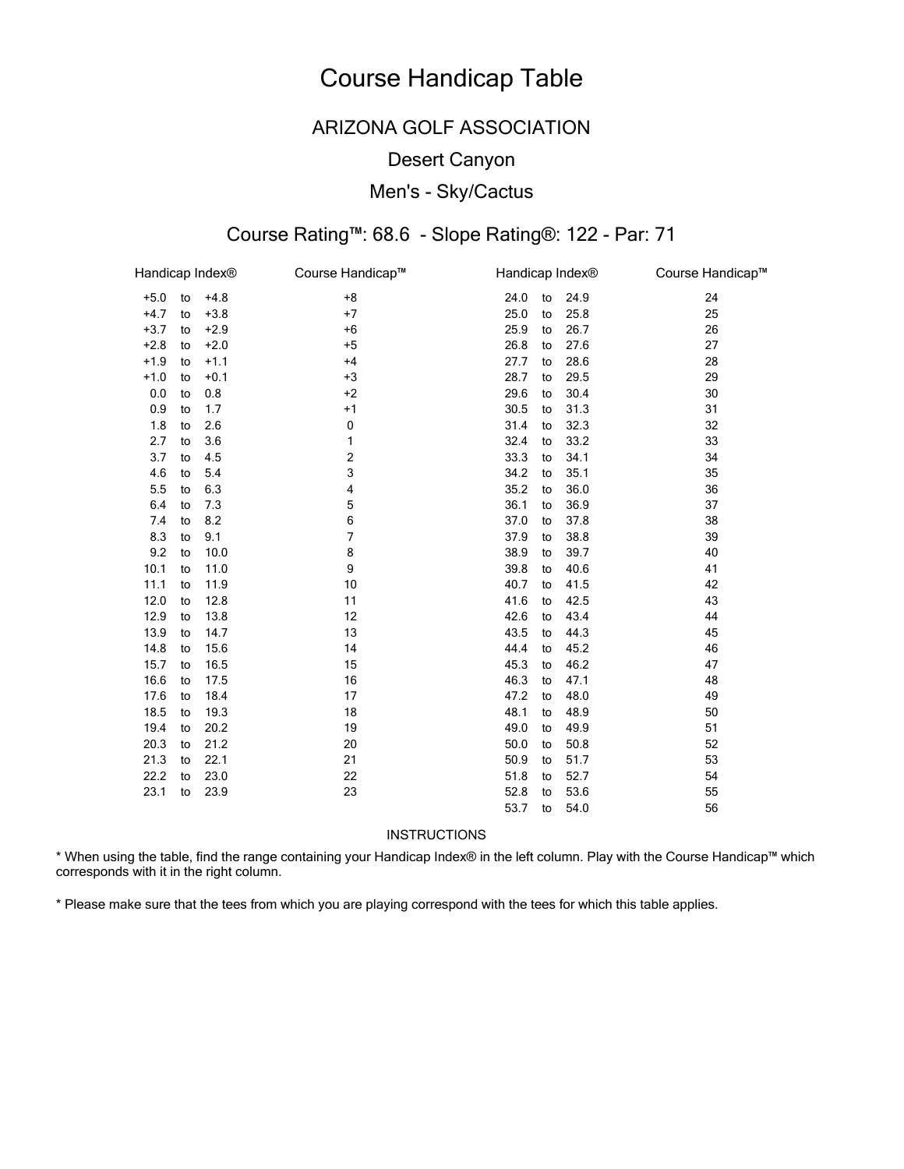## ARIZONA GOLF ASSOCIATION

### Desert Canyon

### Men's - Sky/Cactus

### Course Rating™: 68.6 - Slope Rating®: 122 - Par: 71

| Handicap Index® |    |        | Course Handicap™        | Handicap Index® |    |      | Course Handicap™ |
|-----------------|----|--------|-------------------------|-----------------|----|------|------------------|
| $+5.0$          | to | $+4.8$ | $+8$                    | 24.0            | to | 24.9 | 24               |
| $+4.7$          | to | $+3.8$ | $+7$                    | 25.0            | to | 25.8 | 25               |
| $+3.7$          | to | $+2.9$ | $+6$                    | 25.9            | to | 26.7 | 26               |
| $+2.8$          | to | $+2.0$ | $+5$                    | 26.8            | to | 27.6 | 27               |
| $+1.9$          | to | $+1.1$ | $+4$                    | 27.7            | to | 28.6 | 28               |
| $+1.0$          | to | $+0.1$ | $+3$                    | 28.7            | to | 29.5 | 29               |
| 0.0             | to | 0.8    | $+2$                    | 29.6            | to | 30.4 | 30               |
| 0.9             | to | 1.7    | $+1$                    | 30.5            | to | 31.3 | 31               |
| 1.8             | to | 2.6    | 0                       | 31.4            | to | 32.3 | 32               |
| 2.7             | to | 3.6    | 1                       | 32.4            | to | 33.2 | 33               |
| 3.7             | to | 4.5    | $\overline{\mathbf{c}}$ | 33.3            | to | 34.1 | 34               |
| 4.6             | to | 5.4    | 3                       | 34.2            | to | 35.1 | 35               |
| 5.5             | to | 6.3    | 4                       | 35.2            | to | 36.0 | 36               |
| 6.4             | to | 7.3    | 5                       | 36.1            | to | 36.9 | 37               |
| 7.4             | to | 8.2    | 6                       | 37.0            | to | 37.8 | 38               |
| 8.3             | to | 9.1    | 7                       | 37.9            | to | 38.8 | 39               |
| 9.2             | to | 10.0   | 8                       | 38.9            | to | 39.7 | 40               |
| 10.1            | to | 11.0   | 9                       | 39.8            | to | 40.6 | 41               |
| 11.1            | to | 11.9   | 10                      | 40.7            | to | 41.5 | 42               |
| 12.0            | to | 12.8   | 11                      | 41.6            | to | 42.5 | 43               |
| 12.9            | to | 13.8   | 12                      | 42.6            | to | 43.4 | 44               |
| 13.9            | to | 14.7   | 13                      | 43.5            | to | 44.3 | 45               |
| 14.8            | to | 15.6   | 14                      | 44.4            | to | 45.2 | 46               |
| 15.7            | to | 16.5   | 15                      | 45.3            | to | 46.2 | 47               |
| 16.6            | to | 17.5   | 16                      | 46.3            | to | 47.1 | 48               |
| 17.6            | to | 18.4   | 17                      | 47.2            | to | 48.0 | 49               |
| 18.5            | to | 19.3   | 18                      | 48.1            | to | 48.9 | 50               |
| 19.4            | to | 20.2   | 19                      | 49.0            | to | 49.9 | 51               |
| 20.3            | to | 21.2   | 20                      | 50.0            | to | 50.8 | 52               |
| 21.3            | to | 22.1   | 21                      | 50.9            | to | 51.7 | 53               |
| 22.2            | to | 23.0   | 22                      | 51.8            | to | 52.7 | 54               |
| 23.1            | to | 23.9   | 23                      | 52.8            | to | 53.6 | 55               |
|                 |    |        |                         | 53.7            | to | 54.0 | 56               |

#### INSTRUCTIONS

\* When using the table, find the range containing your Handicap Index® in the left column. Play with the Course Handicap™ which corresponds with it in the right column.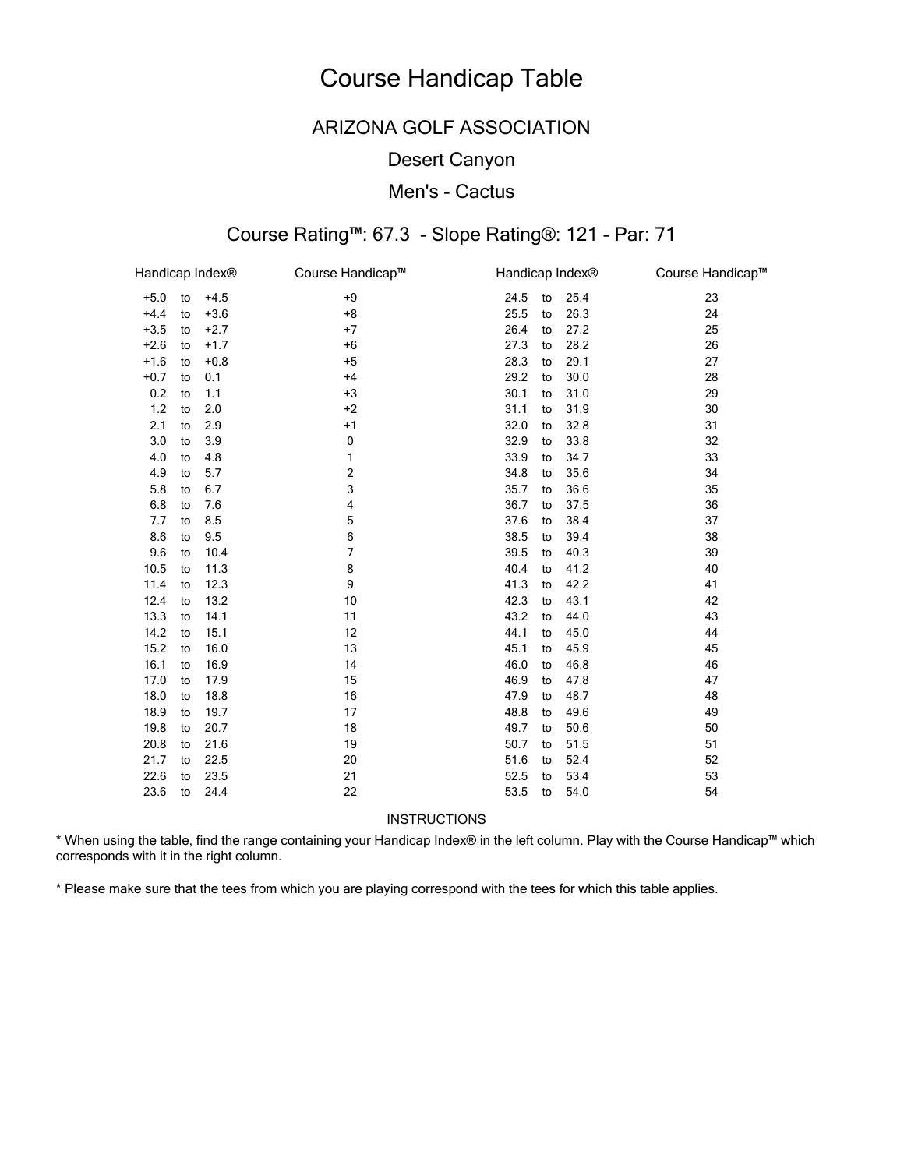## ARIZONA GOLF ASSOCIATION

### Desert Canyon

### Men's - Cactus

# Course Rating™: 67.3 - Slope Rating®: 121 - Par: 71

| Handicap Index® |    |        | Course Handicap™ | Handicap Index® |    |      | Course Handicap™ |
|-----------------|----|--------|------------------|-----------------|----|------|------------------|
| $+5.0$          | to | $+4.5$ | $+9$             | 24.5            | to | 25.4 | 23               |
| $+4.4$          | to | $+3.6$ | $+8$             | 25.5            | to | 26.3 | 24               |
| $+3.5$          | to | $+2.7$ | $+7$             | 26.4            | to | 27.2 | 25               |
| $+2.6$          | to | $+1.7$ | $+6$             | 27.3            | to | 28.2 | 26               |
| $+1.6$          | to | $+0.8$ | $+5$             | 28.3            | to | 29.1 | 27               |
| $+0.7$          | to | 0.1    | $+4$             | 29.2            | to | 30.0 | 28               |
| 0.2             | to | 1.1    | $+3$             | 30.1            | to | 31.0 | 29               |
| 1.2             | to | 2.0    | $+2$             | 31.1            | to | 31.9 | 30               |
| 2.1             | to | 2.9    | $+1$             | 32.0            | to | 32.8 | 31               |
| 3.0             | to | 3.9    | 0                | 32.9            | to | 33.8 | 32               |
| 4.0             | to | 4.8    | 1                | 33.9            | to | 34.7 | 33               |
| 4.9             | to | 5.7    | 2                | 34.8            | to | 35.6 | 34               |
| 5.8             | to | 6.7    | 3                | 35.7            | to | 36.6 | 35               |
| 6.8             | to | 7.6    | 4                | 36.7            | to | 37.5 | 36               |
| 7.7             | to | 8.5    | 5                | 37.6            | to | 38.4 | 37               |
| 8.6             | to | 9.5    | 6                | 38.5            | to | 39.4 | 38               |
| 9.6             | to | 10.4   | 7                | 39.5            | to | 40.3 | 39               |
| 10.5            | to | 11.3   | 8                | 40.4            | to | 41.2 | 40               |
| 11.4            | to | 12.3   | 9                | 41.3            | to | 42.2 | 41               |
| 12.4            | to | 13.2   | 10               | 42.3            | to | 43.1 | 42               |
| 13.3            | to | 14.1   | 11               | 43.2            | to | 44.0 | 43               |
| 14.2            | to | 15.1   | 12               | 44.1            | to | 45.0 | 44               |
| 15.2            | to | 16.0   | 13               | 45.1            | to | 45.9 | 45               |
| 16.1            | to | 16.9   | 14               | 46.0            | to | 46.8 | 46               |
| 17.0            | to | 17.9   | 15               | 46.9            | to | 47.8 | 47               |
| 18.0            | to | 18.8   | 16               | 47.9            | to | 48.7 | 48               |
| 18.9            | to | 19.7   | 17               | 48.8            | to | 49.6 | 49               |
| 19.8            | to | 20.7   | 18               | 49.7            | to | 50.6 | 50               |
| 20.8            | to | 21.6   | 19               | 50.7            | to | 51.5 | 51               |
| 21.7            | to | 22.5   | 20               | 51.6            | to | 52.4 | 52               |
| 22.6            | to | 23.5   | 21               | 52.5            | to | 53.4 | 53               |
| 23.6            | to | 24.4   | 22               | 53.5            | to | 54.0 | 54               |

**INSTRUCTIONS** 

\* When using the table, find the range containing your Handicap Index® in the left column. Play with the Course Handicap™ which corresponds with it in the right column.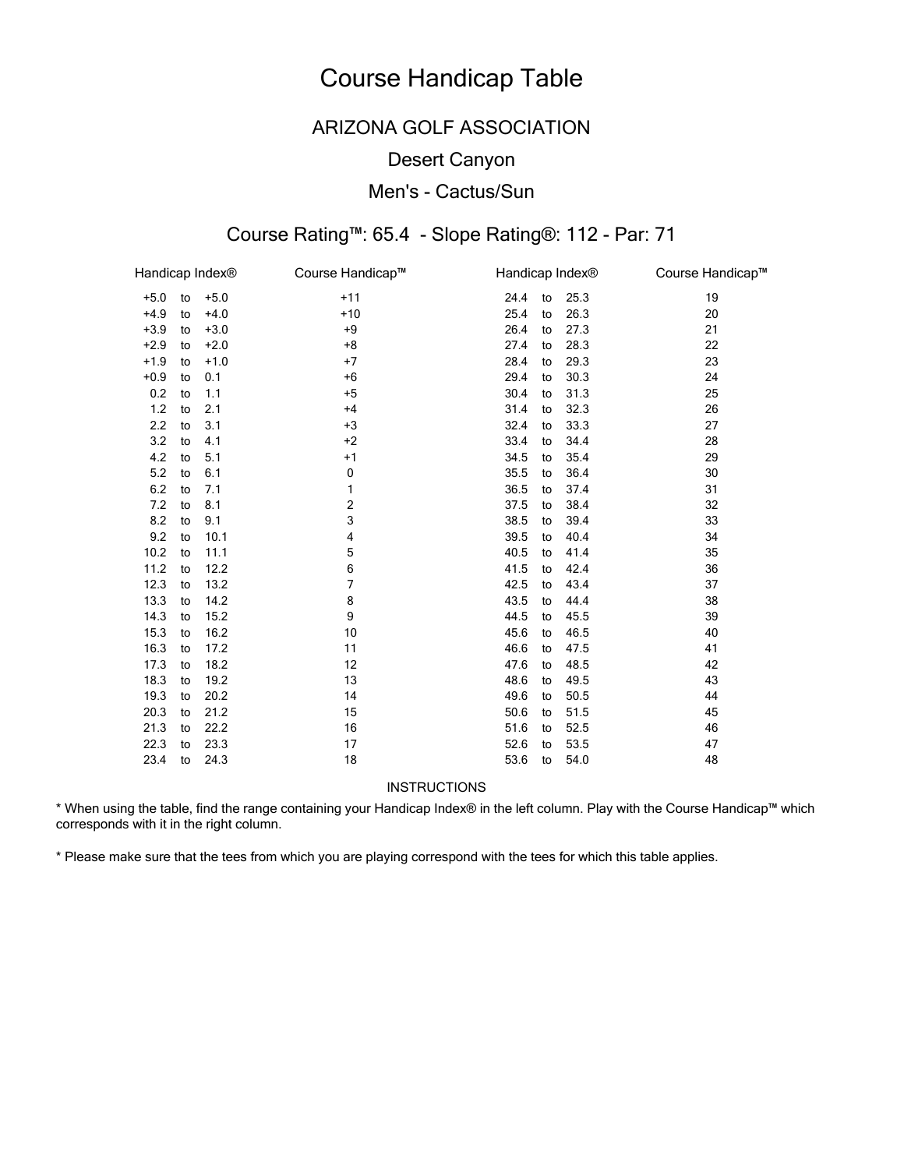## ARIZONA GOLF ASSOCIATION

### Desert Canyon

### Men's - Cactus/Sun

# Course Rating™: 65.4 - Slope Rating®: 112 - Par: 71

| Handicap Index® |    |        | Course Handicap™ | Handicap Index <sup>®</sup> |    |      | Course Handicap™ |
|-----------------|----|--------|------------------|-----------------------------|----|------|------------------|
| $+5.0$          | to | $+5.0$ | $+11$            | 24.4                        | to | 25.3 | 19               |
| $+4.9$          | to | $+4.0$ | $+10$            | 25.4                        | to | 26.3 | 20               |
| $+3.9$          | to | $+3.0$ | $+9$             | 26.4                        | to | 27.3 | 21               |
| $+2.9$          | to | $+2.0$ | $+8$             | 27.4                        | to | 28.3 | 22               |
| $+1.9$          | to | $+1.0$ | $+7$             | 28.4                        | to | 29.3 | 23               |
| $+0.9$          | to | 0.1    | $+6$             | 29.4                        | to | 30.3 | 24               |
| 0.2             | to | 1.1    | $+5$             | 30.4                        | to | 31.3 | 25               |
| 1.2             | to | 2.1    | $+4$             | 31.4                        | to | 32.3 | 26               |
| 2.2             | to | 3.1    | $+3$             | 32.4                        | to | 33.3 | 27               |
| 3.2             | to | 4.1    | $+2$             | 33.4                        | to | 34.4 | 28               |
| 4.2             | to | 5.1    | $+1$             | 34.5                        | to | 35.4 | 29               |
| $5.2\,$         | to | 6.1    | 0                | 35.5                        | to | 36.4 | 30               |
| 6.2             | to | 7.1    | 1                | 36.5                        | to | 37.4 | 31               |
| 7.2             | to | 8.1    | 2                | 37.5                        | to | 38.4 | 32               |
| 8.2             | to | 9.1    | 3                | 38.5                        | to | 39.4 | 33               |
| 9.2             | to | 10.1   | 4                | 39.5                        | to | 40.4 | 34               |
| 10.2            | to | 11.1   | 5                | 40.5                        | to | 41.4 | 35               |
| 11.2            | to | 12.2   | 6                | 41.5                        | to | 42.4 | 36               |
| 12.3            | to | 13.2   | 7                | 42.5                        | to | 43.4 | 37               |
| 13.3            | to | 14.2   | 8                | 43.5                        | to | 44.4 | 38               |
| 14.3            | to | 15.2   | 9                | 44.5                        | to | 45.5 | 39               |
| 15.3            | to | 16.2   | 10               | 45.6                        | to | 46.5 | 40               |
| 16.3            | to | 17.2   | 11               | 46.6                        | to | 47.5 | 41               |
| 17.3            | to | 18.2   | 12               | 47.6                        | to | 48.5 | 42               |
| 18.3            | to | 19.2   | 13               | 48.6                        | to | 49.5 | 43               |
| 19.3            | to | 20.2   | 14               | 49.6                        | to | 50.5 | 44               |
| 20.3            | to | 21.2   | 15               | 50.6                        | to | 51.5 | 45               |
| 21.3            | to | 22.2   | 16               | 51.6                        | to | 52.5 | 46               |
| 22.3            | to | 23.3   | 17               | 52.6                        | to | 53.5 | 47               |
| 23.4            | to | 24.3   | 18               | 53.6                        | to | 54.0 | 48               |

#### **INSTRUCTIONS**

\* When using the table, find the range containing your Handicap Index® in the left column. Play with the Course Handicap™ which corresponds with it in the right column.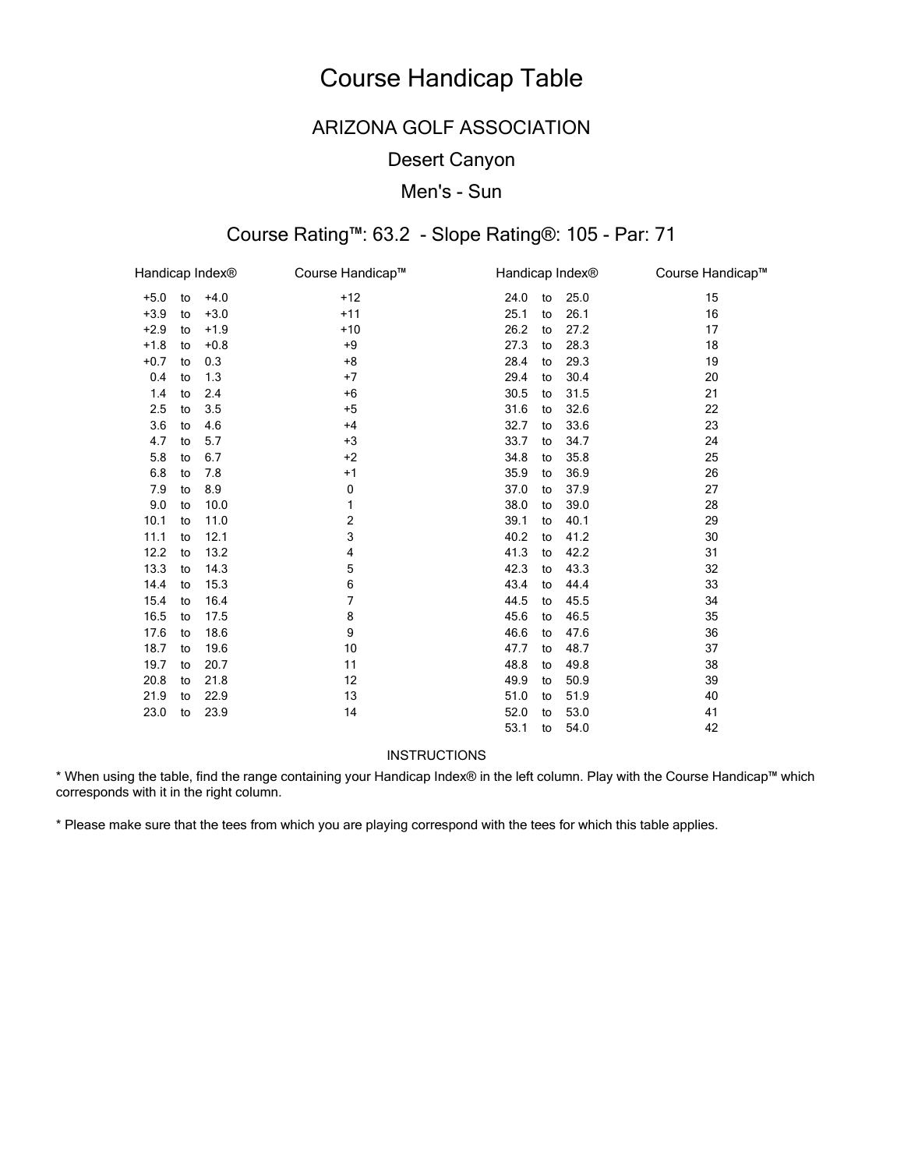## ARIZONA GOLF ASSOCIATION

### Desert Canyon

### Men's - Sun

# Course Rating™: 63.2 - Slope Rating®: 105 - Par: 71

| Handicap Index <sup>®</sup> |    |        | Course Handicap™ |      |    | Handicap Index <sup>®</sup> | Course Handicap™ |
|-----------------------------|----|--------|------------------|------|----|-----------------------------|------------------|
| $+5.0$                      | to | $+4.0$ | $+12$            | 24.0 | to | 25.0                        | 15               |
| $+3.9$                      | to | $+3.0$ | $+11$            | 25.1 | to | 26.1                        | 16               |
| $+2.9$                      | to | $+1.9$ | $+10$            | 26.2 | to | 27.2                        | 17               |
| $+1.8$                      | to | $+0.8$ | $+9$             | 27.3 | to | 28.3                        | 18               |
| $+0.7$                      | to | 0.3    | $+8$             | 28.4 | to | 29.3                        | 19               |
| 0.4                         | to | 1.3    | $+7$             | 29.4 | to | 30.4                        | 20               |
| 1.4                         | to | 2.4    | $+6$             | 30.5 | to | 31.5                        | 21               |
| 2.5                         | to | 3.5    | $+5$             | 31.6 | to | 32.6                        | 22               |
| 3.6                         | to | 4.6    | $+4$             | 32.7 | to | 33.6                        | 23               |
| 4.7                         | to | 5.7    | $+3$             | 33.7 | to | 34.7                        | 24               |
| 5.8                         | to | 6.7    | $+2$             | 34.8 | to | 35.8                        | 25               |
| 6.8                         | to | 7.8    | $+1$             | 35.9 | to | 36.9                        | 26               |
| 7.9                         | to | 8.9    | 0                | 37.0 | to | 37.9                        | 27               |
| 9.0                         | to | 10.0   | 1                | 38.0 | to | 39.0                        | 28               |
| 10.1                        | to | 11.0   | 2                | 39.1 | to | 40.1                        | 29               |
| 11.1                        | to | 12.1   | 3                | 40.2 | to | 41.2                        | 30               |
| 12.2                        | to | 13.2   | 4                | 41.3 | to | 42.2                        | 31               |
| 13.3                        | to | 14.3   | 5                | 42.3 | to | 43.3                        | 32               |
| 14.4                        | to | 15.3   | 6                | 43.4 | to | 44.4                        | 33               |
| 15.4                        | to | 16.4   | 7                | 44.5 | to | 45.5                        | 34               |
| 16.5                        | to | 17.5   | 8                | 45.6 | to | 46.5                        | 35               |
| 17.6                        | to | 18.6   | 9                | 46.6 | to | 47.6                        | 36               |
| 18.7                        | to | 19.6   | 10               | 47.7 | to | 48.7                        | 37               |
| 19.7                        | to | 20.7   | 11               | 48.8 | to | 49.8                        | 38               |
| 20.8                        | to | 21.8   | 12               | 49.9 | to | 50.9                        | 39               |
| 21.9                        | to | 22.9   | 13               | 51.0 | to | 51.9                        | 40               |
| 23.0                        | to | 23.9   | 14               | 52.0 | to | 53.0                        | 41               |
|                             |    |        |                  | 53.1 | to | 54.0                        | 42               |

#### **INSTRUCTIONS**

\* When using the table, find the range containing your Handicap Index® in the left column. Play with the Course Handicap™ which corresponds with it in the right column.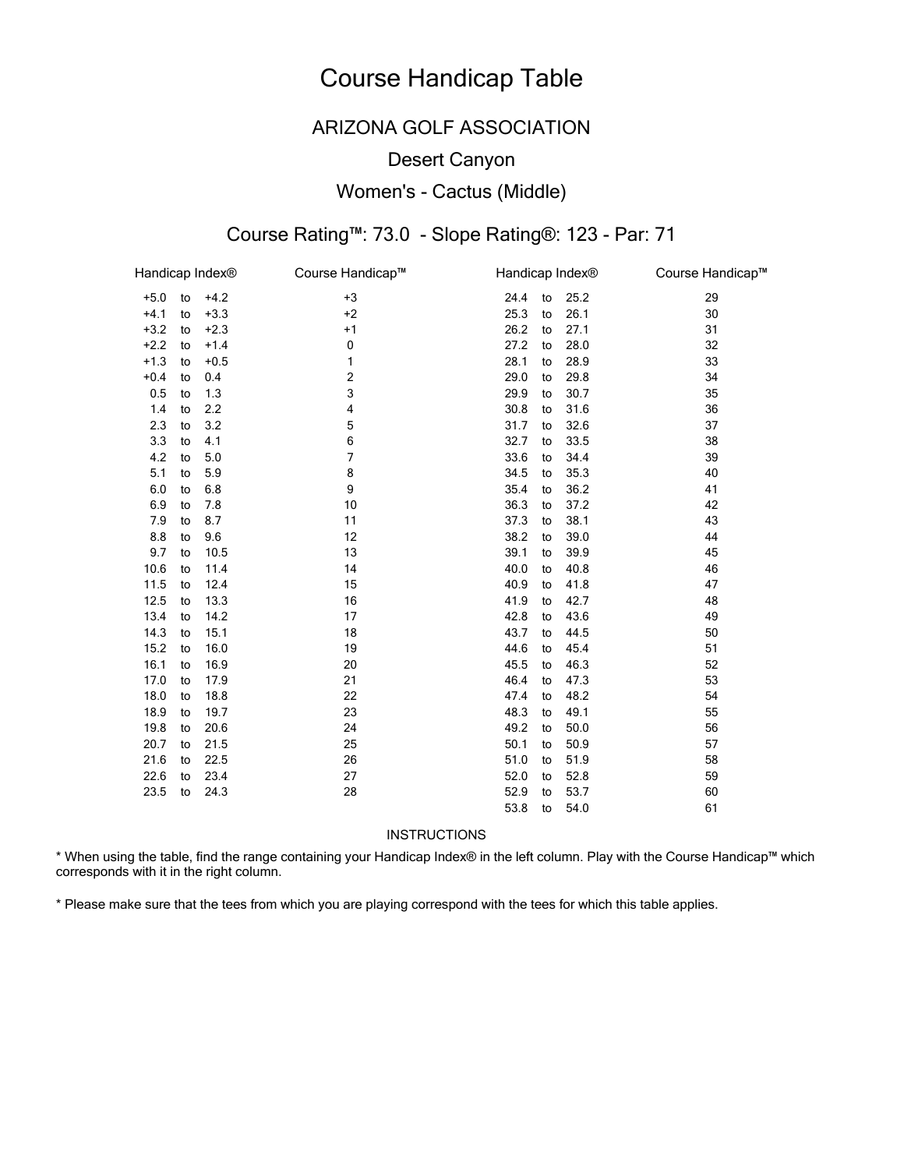## ARIZONA GOLF ASSOCIATION

### Desert Canyon

### Women's - Cactus (Middle)

# Course Rating™: 73.0 - Slope Rating®: 123 - Par: 71

| Handicap Index® |    |        | Course Handicap™ | Handicap Index® |    |      | Course Handicap™ |
|-----------------|----|--------|------------------|-----------------|----|------|------------------|
| $+5.0$          | to | $+4.2$ | $+3$             | 24.4            | to | 25.2 | 29               |
| $+4.1$          | to | $+3.3$ | $+2$             | 25.3            | to | 26.1 | 30               |
| $+3.2$          | to | $+2.3$ | $+1$             | 26.2            | to | 27.1 | 31               |
| $+2.2$          | to | $+1.4$ | $\mathbf 0$      | 27.2            | to | 28.0 | 32               |
| $+1.3$          | to | $+0.5$ | 1                | 28.1            | to | 28.9 | 33               |
| $+0.4$          | to | 0.4    | 2                | 29.0            | to | 29.8 | 34               |
| 0.5             | to | 1.3    | 3                | 29.9            | to | 30.7 | 35               |
| 1.4             | to | 2.2    | 4                | 30.8            | to | 31.6 | 36               |
| 2.3             | to | 3.2    | 5                | 31.7            | to | 32.6 | 37               |
| 3.3             | to | 4.1    | 6                | 32.7            | to | 33.5 | 38               |
| 4.2             | to | 5.0    | 7                | 33.6            | to | 34.4 | 39               |
| 5.1             | to | 5.9    | 8                | 34.5            | to | 35.3 | 40               |
| 6.0             | to | 6.8    | 9                | 35.4            | to | 36.2 | 41               |
| 6.9             | to | 7.8    | 10               | 36.3            | to | 37.2 | 42               |
| 7.9             | to | 8.7    | 11               | 37.3            | to | 38.1 | 43               |
| 8.8             | to | 9.6    | 12               | 38.2            | to | 39.0 | 44               |
| 9.7             | to | 10.5   | 13               | 39.1            | to | 39.9 | 45               |
| 10.6            | to | 11.4   | 14               | 40.0            | to | 40.8 | 46               |
| 11.5            | to | 12.4   | 15               | 40.9            | to | 41.8 | 47               |
| 12.5            | to | 13.3   | 16               | 41.9            | to | 42.7 | 48               |
| 13.4            | to | 14.2   | 17               | 42.8            | to | 43.6 | 49               |
| 14.3            | to | 15.1   | 18               | 43.7            | to | 44.5 | 50               |
| 15.2            | to | 16.0   | 19               | 44.6            | to | 45.4 | 51               |
| 16.1            | to | 16.9   | 20               | 45.5            | to | 46.3 | 52               |
| 17.0            | to | 17.9   | 21               | 46.4            | to | 47.3 | 53               |
| 18.0            | to | 18.8   | 22               | 47.4            | to | 48.2 | 54               |
| 18.9            | to | 19.7   | 23               | 48.3            | to | 49.1 | 55               |
| 19.8            | to | 20.6   | 24               | 49.2            | to | 50.0 | 56               |
| 20.7            | to | 21.5   | 25               | 50.1            | to | 50.9 | 57               |
| 21.6            | to | 22.5   | 26               | 51.0            | to | 51.9 | 58               |
| 22.6            | to | 23.4   | 27               | 52.0            | to | 52.8 | 59               |
| 23.5            | to | 24.3   | 28               | 52.9            | to | 53.7 | 60               |
|                 |    |        |                  | 53.8            | to | 54.0 | 61               |

#### INSTRUCTIONS

\* When using the table, find the range containing your Handicap Index® in the left column. Play with the Course Handicap™ which corresponds with it in the right column.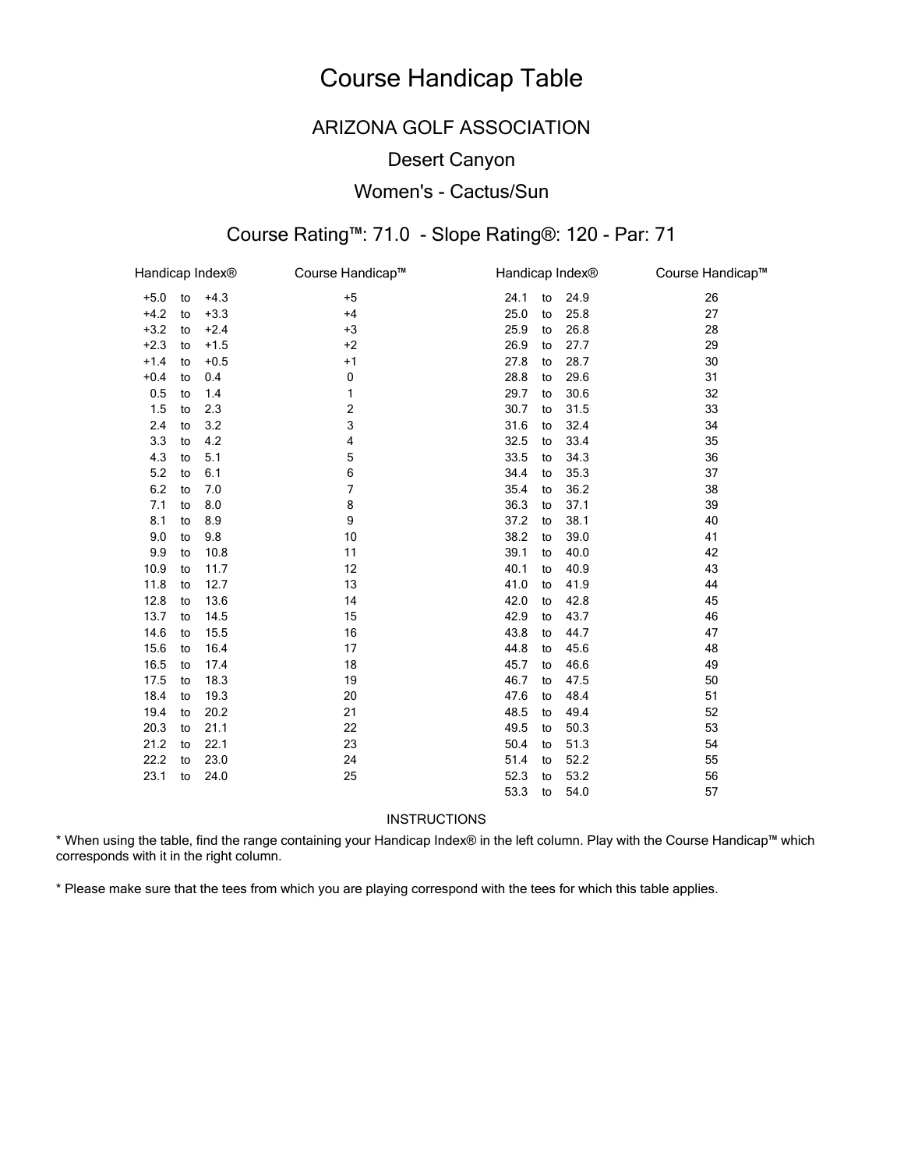## ARIZONA GOLF ASSOCIATION

### Desert Canyon

### Women's - Cactus/Sun

# Course Rating™: 71.0 - Slope Rating®: 120 - Par: 71

| Handicap Index® |    |        | Course Handicap™ | Handicap Index® |    |      | Course Handicap™ |
|-----------------|----|--------|------------------|-----------------|----|------|------------------|
| $+5.0$          | to | $+4.3$ | $+5$             | 24.1            | to | 24.9 | 26               |
| $+4.2$          | to | $+3.3$ | $+4$             | 25.0            | to | 25.8 | 27               |
| $+3.2$          | to | $+2.4$ | $+3$             | 25.9            | to | 26.8 | 28               |
| $+2.3$          | to | $+1.5$ | $+2$             | 26.9            | to | 27.7 | 29               |
| $+1.4$          | to | $+0.5$ | $+1$             | 27.8            | to | 28.7 | 30               |
| $+0.4$          | to | 0.4    | 0                | 28.8            | to | 29.6 | 31               |
| 0.5             | to | 1.4    | 1                | 29.7            | to | 30.6 | 32               |
| 1.5             | to | 2.3    | 2                | 30.7            | to | 31.5 | 33               |
| 2.4             | to | 3.2    | 3                | 31.6            | to | 32.4 | 34               |
| 3.3             | to | 4.2    | 4                | 32.5            | to | 33.4 | 35               |
| 4.3             | to | 5.1    | 5                | 33.5            | to | 34.3 | 36               |
| 5.2             | to | 6.1    | 6                | 34.4            | to | 35.3 | 37               |
| $6.2\,$         | to | 7.0    | $\overline{7}$   | 35.4            | to | 36.2 | 38               |
| 7.1             | to | 8.0    | 8                | 36.3            | to | 37.1 | 39               |
| 8.1             | to | 8.9    | 9                | 37.2            | to | 38.1 | 40               |
| 9.0             | to | 9.8    | 10               | 38.2            | to | 39.0 | 41               |
| 9.9             | to | 10.8   | 11               | 39.1            | to | 40.0 | 42               |
| 10.9            | to | 11.7   | 12               | 40.1            | to | 40.9 | 43               |
| 11.8            | to | 12.7   | 13               | 41.0            | to | 41.9 | 44               |
| 12.8            | to | 13.6   | 14               | 42.0            | to | 42.8 | 45               |
| 13.7            | to | 14.5   | 15               | 42.9            | to | 43.7 | 46               |
| 14.6            | to | 15.5   | 16               | 43.8            | to | 44.7 | 47               |
| 15.6            | to | 16.4   | 17               | 44.8            | to | 45.6 | 48               |
| 16.5            | to | 17.4   | 18               | 45.7            | to | 46.6 | 49               |
| 17.5            | to | 18.3   | 19               | 46.7            | to | 47.5 | 50               |
| 18.4            | to | 19.3   | 20               | 47.6            | to | 48.4 | 51               |
| 19.4            | to | 20.2   | 21               | 48.5            | to | 49.4 | 52               |
| 20.3            | to | 21.1   | 22               | 49.5            | to | 50.3 | 53               |
| 21.2            | to | 22.1   | 23               | 50.4            | to | 51.3 | 54               |
| 22.2            | to | 23.0   | 24               | 51.4            | to | 52.2 | 55               |
| 23.1            | to | 24.0   | 25               | 52.3            | to | 53.2 | 56               |
|                 |    |        |                  | 53.3            | to | 54.0 | 57               |

**INSTRUCTIONS** 

\* When using the table, find the range containing your Handicap Index® in the left column. Play with the Course Handicap™ which corresponds with it in the right column.